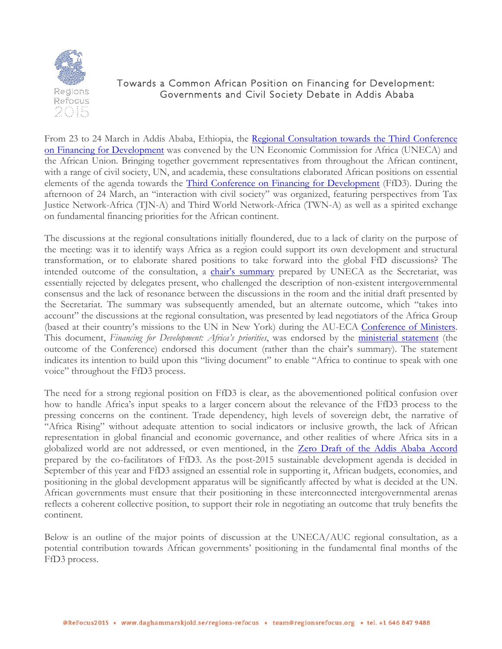

# Towards a Common African Position on Financing for Development: Governments and Civil Society Debate in Addis Ababa

From 23 to 24 March in Addis Ababa, Ethiopia, the Regional [Consultation](http://www.uneca.org/3rd-conference-financing-development) towards the Third Conference on Financing for [Development](http://www.uneca.org/3rd-conference-financing-development) was convened by the UN Economic Commission for Africa (UNECA) and the African Union. Bringing together government representatives from throughout the African continent, with a range of civil society, UN, and academia, these consultations elaborated African positions on essential elements of the agenda towards the Third Conference on Financing for [Development](http://www.un.org/esa/ffd/overview/third-conference-ffd.html) (FfD3). During the afternoon of 24 March, an "interaction with civil society" was organized, featuring perspectives from Tax Justice Network-Africa (TJN-A) and Third World Network-Africa (TWN-A) as well as a spirited exchange on fundamental financing priorities for the African continent.

The discussions at the regional consultations initially floundered, due to a lack of clarity on the purpose of the meeting: was it to identify ways Africa as a region could support its own development and structural transformation, or to elaborate shared positions to take forward into the global FfD discussions? The intended outcome of the consultation, a chair's [summary](http://www.uneca.org/sites/default/files/uploaded-documents/COM/com2015/com2015_regional-consultation-3international-conference-ffd-e1500453_en.pdf) prepared by UNECA as the Secretariat, was essentially rejected by delegates present, who challenged the description of non-existent intergovernmental consensus and the lack of resonance between the discussions in the room and the initial draft presented by the Secretariat. The summary was subsequently amended, but an alternate outcome, which "takes into account" the discussions at the regional consultation, was presented by lead negotiators of the Africa Group (based at their country's missions to the UN in New York) during the AU-ECA [Conference](http://www.uneca.org/cfm2015) of Ministers. This document, *Financing for Development: Africa's priorities*, was endorsed by the [ministerial](http://www.uneca.org/sites/default/files/uploaded-documents/COM/com2015/com2015_draft-ministerial-statement_rev9_mrr.pdf) statement (the outcome of the Conference) endorsed this document (rather than the chair's summary). The statement indicates its intention to build upon this "living document" to enable "Africa to continue to speak with one voice" throughout the FfD3 process.

The need for a strong regional position on FfD3 is clear, as the abovementioned political confusion over how to handle Africa's input speaks to a larger concern about the relevance of the FfD3 process to the pressing concerns on the continent. Trade dependency, high levels of sovereign debt, the narrative of "Africa Rising" without adequate attention to social indicators or inclusive growth, the lack of African representation in global financial and economic governance, and other realities of where Africa sits in a globalized world are not addressed, or even mentioned, in the Zero Draft of the Addis Ababa [Accord](http://www.un.org/esa/ffd/wp-content/uploads/2015/03/1ds-zero-draft-outcome.pdf) prepared by the co-facilitators of FfD3. As the post-2015 sustainable development agenda is decided in September of this year and FfD3 assigned an essential role in supporting it, African budgets, economies, and positioning in the global development apparatus will be significantly affected by what is decided at the UN. African governments must ensure that their positioning in these interconnected intergovernmental arenas reflects a coherent collective position, to support their role in negotiating an outcome that truly benefits the continent.

Below is an outline of the major points of discussion at the UNECA/AUC regional consultation, as a potential contribution towards African governments' positioning in the fundamental final months of the FfD3 process.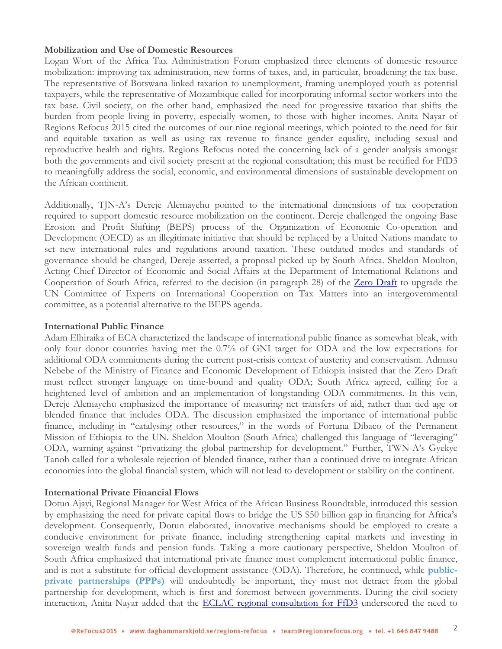## **Mobilization and Use of Domestic Resources**

Logan Wort of the Africa Tax Administration Forum emphasized three elements of domestic resource mobilization: improving tax administration, new forms of taxes, and, in particular, broadening the tax base. The representative of Botswana linked taxation to unemployment, framing unemployed youth as potential taxpayers, while the representative of Mozambique called for incorporating informal sector workers into the tax base. Civil society, on the other hand, emphasized the need for progressive taxation that shifts the burden from people living in poverty, especially women, to those with higher incomes. Anita Nayar of Regions Refocus 2015 cited the outcomes of our nine regional meetings, which pointed to the need for fair and equitable taxation as well as using tax revenue to finance gender equality, including sexual and reproductive health and rights. Regions Refocus noted the concerning lack of a gender analysis amongst both the governments and civil society present at the regional consultation; this must be rectified for FfD3 to meaningfully address the social, economic, and environmental dimensions of sustainable development on the African continent.

Additionally, TJN-A's Dereje Alemayehu pointed to the international dimensions of tax cooperation required to support domestic resource mobilization on the continent. Dereje challenged the ongoing Base Erosion and Profit Shifting (BEPS) process of the Organization of Economic Co-operation and Development (OECD) as an illegitimate initiative that should be replaced by a United Nations mandate to set new international rules and regulations around taxation. These outdated modes and standards of governance should be changed, Dereje asserted, a proposal picked up by South Africa. Sheldon Moulton, Acting Chief Director of Economic and Social Affairs at the Department of International Relations and Cooperation of South Africa, referred to the decision (in paragraph 28) of the [Zero Draft](http://www.un.org/esa/ffd/wp-content/uploads/2015/03/1ds-zero-draft-outcome.pdf) to upgrade the UN Committee of Experts on International Cooperation on Tax Matters into an intergovernmental committee, as a potential alternative to the BEPS agenda.

### **International Public Finance**

Adam Elhiraika of ECA characterized the landscape of international public finance as somewhat bleak, with only four donor countries having met the 0.7% of GNI target for ODA and the low expectations for additional ODA commitments during the current post-crisis context of austerity and conservatism. Admasu Nebebe of the Ministry of Finance and Economic Development of Ethiopia insisted that the Zero Draft must reflect stronger language on time-bound and quality ODA; South Africa agreed, calling for a heightened level of ambition and an implementation of longstanding ODA commitments. In this vein, Dereje Alemayehu emphasized the importance of measuring net transfers of aid, rather than tied age or blended finance that includes ODA. The discussion emphasized the importance of international public finance, including in "catalysing other resources," in the words of Fortuna Dibaco of the Permanent Mission of Ethiopia to the UN. Sheldon Moulton (South Africa) challenged this language of "leveraging" ODA, warning against "privatizing the global partnership for development." Further, TWN-A's Gyekye Tanoh called for a wholesale rejection of blended finance, rather than a continued drive to integrate African economies into the global financial system, which will not lead to development or stability on the continent.

# **International Private Financial Flows**

Dotun Ajayi, Regional Manager for West Africa of the African Business Roundtable, introduced this session by emphasizing the need for private capital flows to bridge the US \$50 billion gap in financing for Africa's development. Consequently, Dotun elaborated, innovative mechanisms should be employed to create a conducive environment for private finance, including strengthening capital markets and investing in sovereign wealth funds and pension funds. Taking a more cautionary perspective, Sheldon Moulton of South Africa emphasized that international private finance must complement international public finance, and is not a substitute for official development assistance (ODA). Therefore, he continued, while **publicprivate partnerships (PPPs)** will undoubtedly be important, they must not detract from the global partnership for development, which is first and foremost between governments. During the civil society interaction, Anita Nayar added that the [ECLAC regional consultation for FfD3](http://bit.ly/ECLACFfDEng) underscored the need to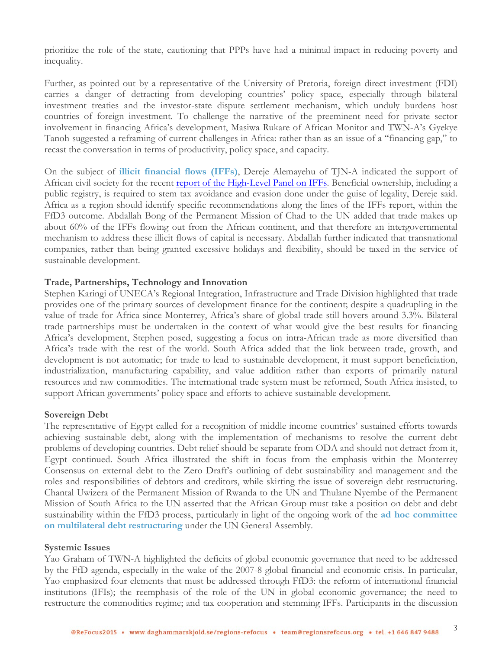prioritize the role of the state, cautioning that PPPs have had a minimal impact in reducing poverty and inequality.

Further, as pointed out by a representative of the University of Pretoria, foreign direct investment (FDI) carries a danger of detracting from developing countries' policy space, especially through bilateral investment treaties and the investor-state dispute settlement mechanism, which unduly burdens host countries of foreign investment. To challenge the narrative of the preeminent need for private sector involvement in financing Africa's development, Masiwa Rukare of African Monitor and TWN-A's Gyekye Tanoh suggested a reframing of current challenges in Africa: rather than as an issue of a "financing gap," to recast the conversation in terms of productivity, policy space, and capacity.

On the subject of **illicit financial flows (IFFs)**, Dereje Alemayehu of TJN-A indicated the support of African civil society for the recent report of [the High-Level](http://www.uneca.org/sites/default/files/publications/iff_main_report_english.pdf) Panel on IFFs. Beneficial ownership, including a public registry, is required to stem tax avoidance and evasion done under the guise of legality, Dereje said. Africa as a region should identify specific recommendations along the lines of the IFFs report, within the FfD3 outcome. Abdallah Bong of the Permanent Mission of Chad to the UN added that trade makes up about 60% of the IFFs flowing out from the African continent, and that therefore an intergovernmental mechanism to address these illicit flows of capital is necessary. Abdallah further indicated that transnational companies, rather than being granted excessive holidays and flexibility, should be taxed in the service of sustainable development.

# **Trade, Partnerships, Technology and Innovation**

Stephen Karingi of UNECA's Regional Integration, Infrastructure and Trade Division highlighted that trade provides one of the primary sources of development finance for the continent; despite a quadrupling in the value of trade for Africa since Monterrey, Africa's share of global trade still hovers around 3.3%. Bilateral trade partnerships must be undertaken in the context of what would give the best results for financing Africa's development, Stephen posed, suggesting a focus on intra-African trade as more diversified than Africa's trade with the rest of the world. South Africa added that the link between trade, growth, and development is not automatic; for trade to lead to sustainable development, it must support beneficiation, industrialization, manufacturing capability, and value addition rather than exports of primarily natural resources and raw commodities. The international trade system must be reformed, South Africa insisted, to support African governments' policy space and efforts to achieve sustainable development.

#### **Sovereign Debt**

The representative of Egypt called for a recognition of middle income countries' sustained efforts towards achieving sustainable debt, along with the implementation of mechanisms to resolve the current debt problems of developing countries. Debt relief should be separate from ODA and should not detract from it, Egypt continued. South Africa illustrated the shift in focus from the emphasis within the Monterrey Consensus on external debt to the Zero Draft's outlining of debt sustainability and management and the roles and responsibilities of debtors and creditors, while skirting the issue of sovereign debt restructuring. Chantal Uwizera of the Permanent Mission of Rwanda to the UN and Thulane Nyembe of the Permanent Mission of South Africa to the UN asserted that the African Group must take a position on debt and debt sustainability within the FfD3 process, particularly in light of the ongoing work of the **ad hoc committee on multilateral debt restructuring** under the UN General Assembly.

#### **Systemic Issues**

Yao Graham of TWN-A highlighted the deficits of global economic governance that need to be addressed by the FfD agenda, especially in the wake of the 2007-8 global financial and economic crisis. In particular, Yao emphasized four elements that must be addressed through FfD3: the reform of international financial institutions (IFIs); the reemphasis of the role of the UN in global economic governance; the need to restructure the commodities regime; and tax cooperation and stemming IFFs. Participants in the discussion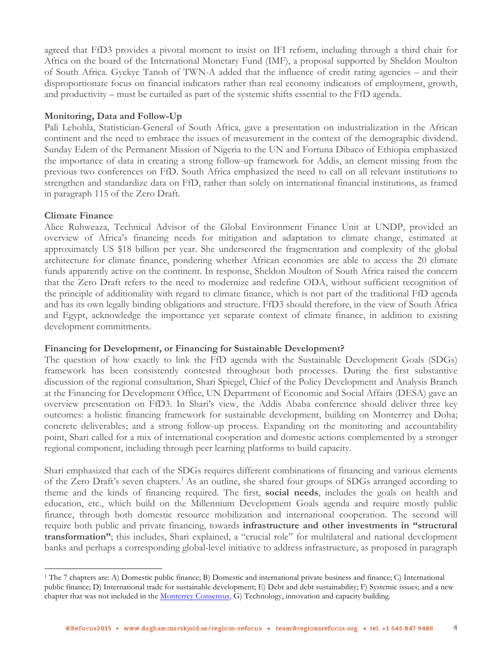agreed that FfD3 provides a pivotal moment to insist on IFI reform, including through a third chair for Africa on the board of the International Monetary Fund (IMF), a proposal supported by Sheldon Moulton of South Africa. Gyekye Tanoh of TWN-A added that the influence of credit rating agencies – and their disproportionate focus on financial indicators rather than real economy indicators of employment, growth, and productivity – must be curtailed as part of the systemic shifts essential to the FfD agenda.

# **Monitoring, Data and Follow-Up**

Pali Lehohla, Statistician-General of South Africa, gave a presentation on industrialization in the African continent and the need to embrace the issues of measurement in the context of the demographic dividend. Sunday Edem of the Permanent Mission of Nigeria to the UN and Fortuna Dibaco of Ethiopia emphasized the importance of data in creating a strong follow-up framework for Addis, an element missing from the previous two conferences on FfD. South Africa emphasized the need to call on all relevant institutions to strengthen and standardize data on FfD, rather than solely on international financial institutions, as framed in paragraph 115 of the Zero Draft.

# **Climate Finance**

Alice Ruhweaza, Technical Advisor of the Global Environment Finance Unit at UNDP, provided an overview of Africa's financing needs for mitigation and adaptation to climate change, estimated at approximately US \$18 billion per year. She underscored the fragmentation and complexity of the global architecture for climate finance, pondering whether African economies are able to access the 20 climate funds apparently active on the continent. In response, Sheldon Moulton of South Africa raised the concern that the Zero Draft refers to the need to modernize and redefine ODA, without sufficient recognition of the principle of additionality with regard to climate finance, which is not part of the traditional FfD agenda and has its own legally binding obligations and structure. FfD3 should therefore, in the view of South Africa and Egypt, acknowledge the importance yet separate context of climate finance, in addition to existing development commitments.

# **Financing for Development, or Financing for Sustainable Development?**

The question of how exactly to link the FfD agenda with the Sustainable Development Goals (SDGs) framework has been consistently contested throughout both processes. During the first substantive discussion of the regional consultation, Shari Spiegel, Chief of the Policy Development and Analysis Branch at the Financing for Development Office, UN Department of Economic and Social Affairs (DESA) gave an overview presentation on FfD3. In Shari's view, the Addis Ababa conference should deliver three key outcomes: a holistic financing framework for sustainable development, building on Monterrey and Doha; concrete deliverables; and a strong follow-up process. Expanding on the monitoring and accountability point, Shari called for a mix of international cooperation and domestic actions complemented by a stronger regional component, including through peer learning platforms to build capacity.

Shari emphasized that each of the SDGs requires different combinations of financing and various elements of the Zero Draft's seven chapters. <sup>1</sup> As an outline, she shared four groups of SDGs arranged according to theme and the kinds of financing required. The first, **social needs**, includes the goals on health and education, etc., which build on the Millennium Development Goals agenda and require mostly public finance, through both domestic resource mobilization and international cooperation. The second will require both public and private financing, towards **infrastructure and other investments in "structural transformation"**; this includes, Shari explained, a "crucial role" for multilateral and national development banks and perhaps a corresponding global-level initiative to address infrastructure, as proposed in paragraph

<sup>1</sup> The 7 chapters are: A) Domestic public finance; B) Domestic and international private business and finance; C) International public finance; D) International trade for sustainable development; E) Debt and debt sustainability; F) Systemic issues; and a new chapter that was not included in the Monterrey [Consensus,](http://www.un.org/esa/ffd/wp-content/uploads/2014/09/MonterreyConsensus.pdf) G) Technology, innovation and capacity building.